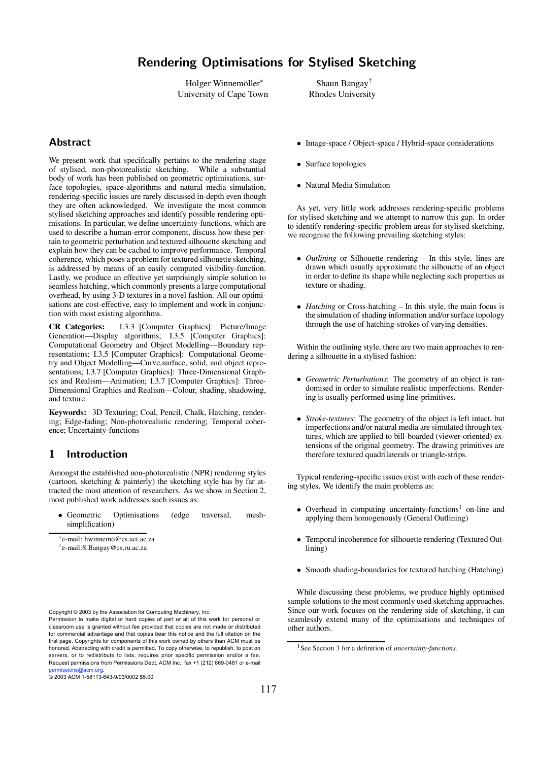# Rendering Optimisations for Stylised Sketching

Holger Winnemöller University of Cape Town

# Abstract

We present work that specifically pertains to the rendering stage of stylised, non-photorealistic sketching. While a substantial body of work has been published on geometric optimisations, surface topologies, space-algorithms and natural media simulation, rendering-specific issues are rarely discussed in-depth even though they are often acknowledged. We investigate the most common stylised sketching approaches and identify possible rendering optimisations. In particular, we define uncertainty-functions, which are used to describe a human-error component, discuss how these pertain to geometric perturbation and textured silhouette sketching and explain how they can be cached to improve performance. Temporal coherence, which poses a problem for textured silhouette sketching, is addressed by means of an easily computed visibility-function. Lastly, we produce an effective yet surprisingly simple solution to seamless hatching, which commonly presents a large computational overhead, by using 3-D textures in a novel fashion. All our optimisations are cost-effective, easy to implement and work in conjunction with most existing algorithms.

**CR Categories:** I.3.3 [Computer Graphics]: Picture/Image Generation—Display algorithms; I.3.5 [Computer Graphics]: Computational Geometry and Object Modelling—Boundary representations; I.3.5 [Computer Graphics]: Computational Geometry and Object Modelling—Curve,surface, solid, and object representations; I.3.7 [Computer Graphics]: Three-Dimensional Graphics and Realism—Animation; I.3.7 [Computer Graphics]: Three-Dimensional Graphics and Realism—Colour, shading, shadowing, and texture

**Keywords:** 3D Texturing; Coal, Pencil, Chalk, Hatching, rendering; Edge-fading; Non-photorealistic rendering; Temporal coherence; Uncertainty-functions

# 1 Introduction

Amongst the established non-photorealistic (NPR) rendering styles (cartoon, sketching & painterly) the sketching style has by far attracted the most attention of researchers. As we show in Section 2, most published work addresses such issues as:

• Geometric Optimisations (edge traversal, meshsimplification)

† e-mail:S.Bangay@cs.ru.ac.za

Copyright © 2003 by the Association for Computing Machinery, Inc.

Permission to make digital or hard copies of part or all of this work for personal or classroom use is granted without fee provided that copies are not made or distributed for commercial advantage and that copies bear this notice and the full citation on the first page. Copyrights for components of this work owned by others than ACM must be honored. Abstracting with credit is permitted. To copy otherwise, to republish, to post on servers, or to redistribute to lists, requires prior specific permission and/or a fee. Request permissions from Permissions Dept, ACM Inc., fax +1 (212) 869-0481 or e-mail permissions@acm.org. © 2003 ACM 1-58113-643-9/03/0002 \$5.00

- Image-space / Object-space / Hybrid-space considerations
- Surface topologies
- Natural Media Simulation

As yet, very little work addresses rendering-specific problems for stylised sketching and we attempt to narrow this gap. In order to identify rendering-specific problem areas for stylised sketching, we recognise the following prevailing sketching styles:

- *Outlining* or Silhouette rendering In this style, lines are drawn which usually approximate the silhouette of an object in order to define its shape while neglecting such properties as texture or shading.
- *Hatching* or Cross-hatching In this style, the main focus is the simulation of shading information and/or surface topology through the use of hatching-strokes of varying densities.

Within the outlining style, there are two main approaches to rendering a silhouette in a stylised fashion:

- *Geometric Perturbations*: The geometry of an object is randomised in order to simulate realistic imperfections. Rendering is usually performed using line-primitives.
- *Stroke-textures*: The geometry of the object is left intact, but imperfections and/or natural media are simulated through textures, which are applied to bill-boarded (viewer-oriented) extensions of the original geometry. The drawing primitives are therefore textured quadrilaterals or triangle-strips.

Typical rendering-specific issues exist with each of these rendering styles. We identify the main problems as:

- Overhead in computing uncertainty-functions <sup>1</sup> on-line and applying them homogenously (General Outlining)
- Temporal incoherence for silhouette rendering (Textured Outlining)
- Smooth shading-boundaries for textured hatching (Hatching)

While discussing these problems, we produce highly optimised sample solutions to the most commonly used sketching approaches. Since our work focuses on the rendering side of sketching, it can seamlessly extend many of the optimisations and techniques of other authors.

e-mail: hwinnemo@cs.uct.ac.za

<sup>1</sup>See Section 3 for a definition of *uncertainty-functions*.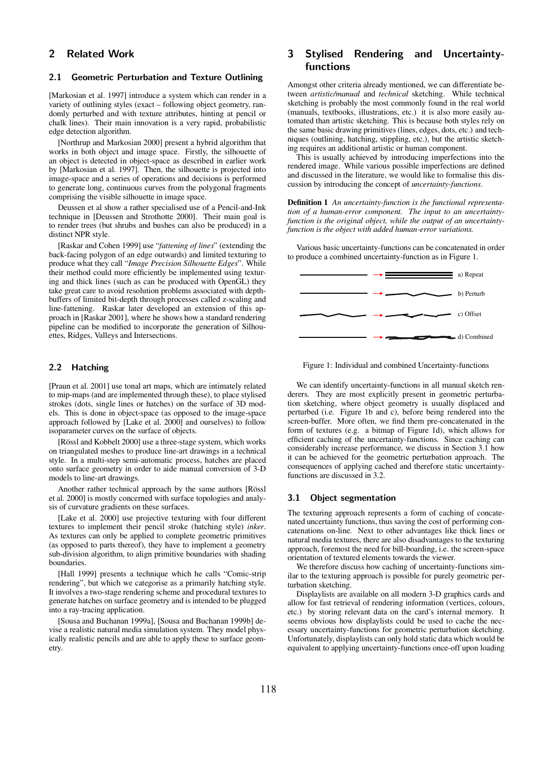## 2 Related Work

### 2.1 Geometric Perturbation and Texture Outlining

[Markosian et al. 1997] introduce a system which can render in a variety of outlining styles (exact – following object geometry, randomly perturbed and with texture attributes, hinting at pencil or chalk lines). Their main innovation is a very rapid, probabilistic edge detection algorithm.

[Northrup and Markosian 2000] present a hybrid algorithm that works in both object and image space. Firstly, the silhouette of an object is detected in object-space as described in earlier work by [Markosian et al. 1997]. Then, the silhouette is projected into image-space and a series of operations and decisions is performed to generate long, continuous curves from the polygonal fragments comprising the visible silhouette in image space.

Deussen et al show a rather specialised use of a Pencil-and-Ink technique in [Deussen and Strothotte 2000]. Their main goal is to render trees (but shrubs and bushes can also be produced) in a distinct NPR style.

[Raskar and Cohen 1999] use "*fattening of lines*" (extending the back-facing polygon of an edge outwards) and limited texturing to produce what they call "*Image Precision Silhouette Edges*". While their method could more efficiently be implemented using texturing and thick lines (such as can be produced with OpenGL) they take great care to avoid resolution problems associated with depthbuffers of limited bit-depth through processes called z-scaling and line-fattening. Raskar later developed an extension of this approach in [Raskar 2001], where he shows how a standard rendering pipeline can be modified to incorporate the generation of Silhouettes, Ridges, Valleys and Intersections.

#### 2.2 Hatching

[Praun et al. 2001] use tonal art maps, which are intimately related to mip-maps (and are implemented through these), to place stylised strokes (dots, single lines or hatches) on the surface of 3D models. This is done in object-space (as opposed to the image-space approach followed by [Lake et al. 2000] and ourselves) to follow isoparameter curves on the surface of objects.

[Rössl and Kobbelt 2000] use a three-stage system, which works on triangulated meshes to produce line-art drawings in a technical style. In a multi-step semi-automatic process, hatches are placed onto surface geometry in order to aide manual conversion of 3-D models to line-art drawings.

Another rather technical approach by the same authors [Rössl et al. 2000] is mostly concerned with surface topologies and analysis of curvature gradients on these surfaces.

[Lake et al. 2000] use projective texturing with four different textures to implement their pencil stroke (hatching style) *inker*. As textures can only be applied to complete geometric primitives (as opposed to parts thereof), they have to implement a geometry sub-division algorithm, to align primitive boundaries with shading boundaries.

[Hall 1999] presents a technique which he calls "Comic-strip" rendering", but which we categorise as a primarily hatching style. It involves a two-stage rendering scheme and procedural textures to generate hatches on surface geometry and is intended to be plugged into a ray-tracing application.

[Sousa and Buchanan 1999a], [Sousa and Buchanan 1999b] devise a realistic natural media simulation system. They model physically realistic pencils and are able to apply these to surface geometry.

# 3 Stylised Rendering and Uncertaintyfunctions

Amongst other criteria already mentioned, we can differentiate between *artistic/manual* and *technical* sketching. While technical sketching is probably the most commonly found in the real world (manuals, textbooks, illustrations, etc.) it is also more easily automated than artistic sketching. This is because both styles rely on the same basic drawing primitives(lines, edges, dots, etc.) and techniques (outlining, hatching, stippling, etc.), but the artistic sketching requires an additional artistic or human component.

This is usually achieved by introducing imperfections into the rendered image. While various possible imperfections are defined and discussed in the literature, we would like to formalise this discussion by introducing the concept of *uncertainty-functions*.

**Definition 1** *An uncertainty-function is the functional representation of a human-error component. The input to an uncertaintyfunction is the original object, while the output of an uncertaintyfunction is the object with added human-error variations.*

Various basic uncertainty-functions can be concatenated in order to produce a combined uncertainty-function as in Figure 1.





We can identify uncertainty-functions in all manual sketch renderers. They are most explicitly present in geometric perturbation sketching, where object geometry is usually displaced and perturbed (i.e. Figure 1b and c), before being rendered into the screen-buffer. More often, we find them pre-concatenated in the form of textures (e.g. a bitmap of Figure 1d), which allows for efficient caching of the uncertainty-functions. Since caching can considerably increase performance, we discuss in Section 3.1 how it can be achieved for the geometric perturbation approach. The consequences of applying cached and therefore static uncertaintyfunctions are discussed in 3.2.

#### 3.1 Object segmentation

The texturing approach represents a form of caching of concatenated uncertainty functions, thus saving the cost of performing concatenations on-line. Next to other advantages like thick lines or natural media textures, there are also disadvantages to the texturing approach, foremost the need for bill-boarding, i.e. the screen-space orientation of textured elements towards the viewer.

We therefore discuss how caching of uncertainty-functions similar to the texturing approach is possible for purely geometric perturbation sketching.

Displaylists are available on all modern 3-D graphics cards and allow for fast retrieval of rendering information (vertices, colours, etc.) by storing relevant data on the card's internal memory. It seems obvious how displaylists could be used to cache the necessary uncertainty-functions for geometric perturbation sketching. Unfortunately, displaylists can only hold static data which would be equivalent to applying uncertainty-functions once-off upon loading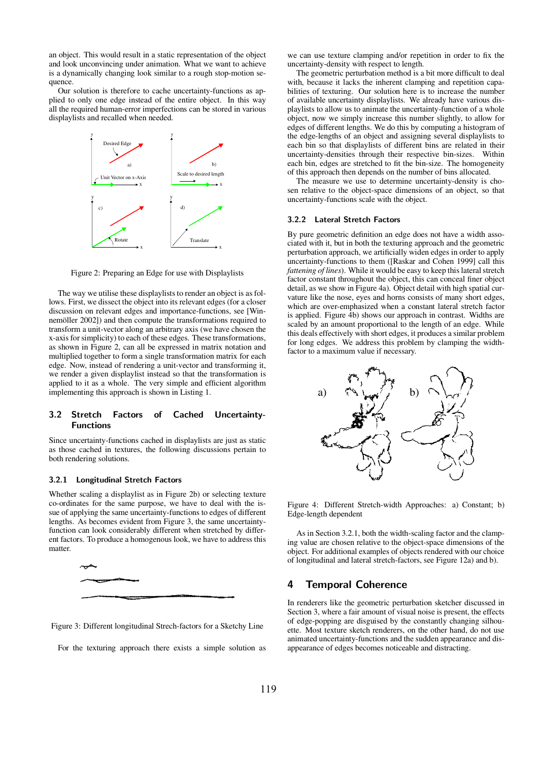an object. This would result in a static representation of the object and look unconvincing under animation. What we want to achieve is a dynamically changing look similar to a rough stop-motion sequence.

Our solution is therefore to cache uncertainty-functions as applied to only one edge instead of the entire object. In this way all the required human-error imperfections can be stored in various displaylists and recalled when needed.



Figure 2: Preparing an Edge for use with Displaylists

The way we utilise these displaylists to render an object is as follows. First, we dissect the object into its relevant edges (for a closer discussion on relevant edges and importance-functions, see [Winnemöller 2002]) and then compute the transformations required to transform a unit-vector along an arbitrary axis (we have chosen the x-axisforsimplicity) to each of these edges. These transformations, as shown in Figure 2, can all be expressed in matrix notation and multiplied together to form a single transformation matrix for each edge. Now, instead of rendering a unit-vector and transforming it, we render a given displaylist instead so that the transformation is applied to it as a whole. The very simple and efficient algorithm implementing this approach is shown in Listing 1.

#### $3.2$ ret **Factors** of Cached d Uncertainty-**Functions**

Since uncertainty-functions cached in displaylists are just as static as those cached in textures, the following discussions pertain to both rendering solutions.

#### 3.2.1 Longitudinal Stretch Factors

Whether scaling a displaylist as in Figure 2b) or selecting texture co-ordinates for the same purpose, we have to deal with the issue of applying the same uncertainty-functions to edges of different lengths. As becomes evident from Figure 3, the same uncertaintyfunction can look considerably different when stretched by different factors. To produce a homogenous look, we have to address this matter.



Figure 3: Different longitudinal Strech-factors for a Sketchy Line

For the texturing approach there exists a simple solution as

we can use texture clamping and/or repetition in order to fix the uncertainty-density with respect to length.

The geometric perturbation method is a bit more difficult to deal with, because it lacks the inherent clamping and repetition capabilities of texturing. Our solution here is to increase the number of available uncertainty displaylists. We already have various displaylists to allow us to animate the uncertainty-function of a whole object, now we simply increase this number slightly, to allow for edges of different lengths. We do this by computing a histogram of the edge-lengths of an object and assigning several displaylists to each bin so that displaylists of different bins are related in their uncertainty-densities through their respective bin-sizes. Within each bin, edges are stretched to fit the bin-size. The homogeneity of this approach then depends on the number of bins allocated.

The measure we use to determine uncertainty-density is chosen relative to the object-space dimensions of an object, so that uncertainty-functions scale with the object.

#### 3.2.2 Lateral Stretch Factors

By pure geometric definition an edge does not have a width associated with it, but in both the texturing approach and the geometric perturbation approach, we artificially widen edges in order to apply uncertainty-functions to them ([Raskar and Cohen 1999] call this *fattening of lines*). While it would be easy to keep this lateral stretch factor constant throughout the object, this can conceal finer object detail, as we show in Figure 4a). Object detail with high spatial curvature like the nose, eyes and horns consists of many short edges, which are over-emphasized when a constant lateral stretch factor is applied. Figure 4b) shows our approach in contrast. Widths are scaled by an amount proportional to the length of an edge. While this deals effectively with short edges, it produces a similar problem for long edges. We address this problem by clamping the widthfactor to a maximum value if necessary.



Figure 4: Different Stretch-width Approaches: a) Constant; b) Edge-length dependent

As in Section 3.2.1, both the width-scaling factor and the clamping value are chosen relative to the object-space dimensions of the object. For additional examples of objects rendered with our choice of longitudinal and lateral stretch-factors, see Figure 12a) and b).

### 4 Temporal Coherence

In renderers like the geometric perturbation sketcher discussed in Section 3, where a fair amount of visual noise is present, the effects of edge-popping are disguised by the constantly changing silhouette. Most texture sketch renderers, on the other hand, do not use animated uncertainty-functions and the sudden appearance and disappearance of edges becomes noticeable and distracting.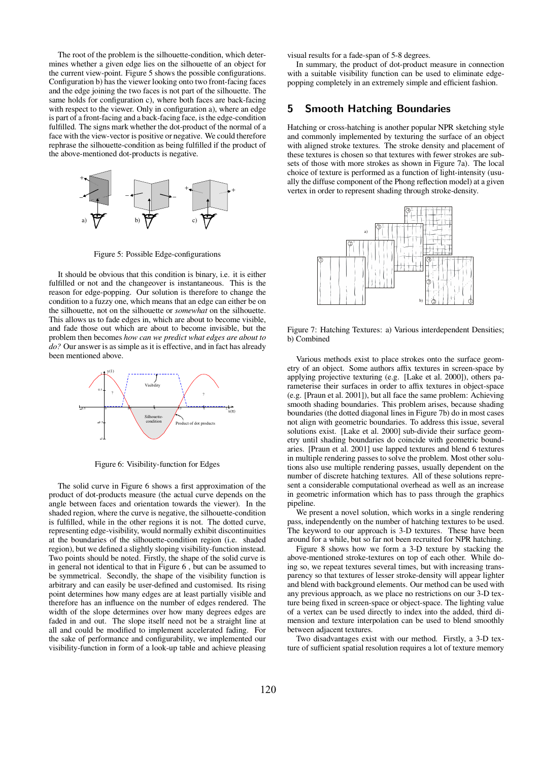The root of the problem is the silhouette-condition, which determines whether a given edge lies on the silhouette of an object for the current view-point. Figure 5 shows the possible configurations. Configuration b) hasthe viewer looking onto two front-facing faces and the edge joining the two faces is not part of the silhouette. The same holds for configuration c), where both faces are back-facing with respect to the viewer. Only in configuration a), where an edge is part of a front-facing and a back-facing face, isthe edge-condition fulfilled. The signs mark whether the dot-product of the normal of a face with the view-vector is positive or negative. We could therefore rephrase the silhouette-condition as being fulfilled if the product of the above-mentioned dot-products is negative.



Figure 5: Possible Edge-configurations

It should be obvious that this condition is binary, i.e. it is either fulfilled or not and the changeover is instantaneous. This is the reason for edge-popping. Our solution is therefore to change the condition to a fuzzy one, which means that an edge can either be on the silhouette, not on the silhouette or *somewhat* on the silhouette. This allows us to fade edges in, which are about to become visible, and fade those out which are about to become invisible, but the problem then becomes *how can we predict what edges are about to* do? Our answer is as simple as it is effective, and in fact has already been mentioned above.



Figure 6: Visibility-function for Edges

The solid curve in Figure 6 shows a first approximation of the product of dot-products measure (the actual curve depends on the angle between faces and orientation towards the viewer). In the shaded region, where the curve is negative, the silhouette-condition is fulfilled, while in the other regions it is not. The dotted curve, representing edge-visibility, would normally exhibit discontinuities at the boundaries of the silhouette-condition region (i.e. shaded region), but we defined a slightly sloping visibility-function instead. Two points should be noted. Firstly, the shape of the solid curve is in general not identical to that in Figure 6 , but can be assumed to be symmetrical. Secondly, the shape of the visibility function is arbitrary and can easily be user-defined and customised. Its rising point determines how many edges are at least partially visible and therefore has an influence on the number of edges rendered. The width of the slope determines over how many degrees edges are faded in and out. The slope itself need not be a straight line at all and could be modified to implement accelerated fading. For the sake of performance and configurability, we implemented our visibility-function in form of a look-up table and achieve pleasing

visual results for a fade-span of 5-8 degrees.

In summary, the product of dot-product measure in connection with a suitable visibility function can be used to eliminate edgepopping completely in an extremely simple and efficient fashion.

### 5 Smooth Hatching Boundaries

Hatching or cross-hatching is another popular NPR sketching style and commonly implemented by texturing the surface of an object with aligned stroke textures. The stroke density and placement of these textures is chosen so that textures with fewer strokes are subsets of those with more strokes as shown in Figure 7a). The local choice of texture is performed as a function of light-intensity (usually the diffuse component of the Phong reflection model) at a given vertex in order to represent shading through stroke-density.



Figure 7: Hatching Textures: a) Various interdependent Densities b) Combined

Various methods exist to place strokes onto the surface geometry of an object. Some authors affix textures in screen-space by applying projective texturing (e.g. [Lake et al. 2000]), others parameterise their surfaces in order to affix textures in object-space (e.g. [Praun et al. 2001]), but all face the same problem: Achieving smooth shading boundaries. This problem arises, because shading boundaries (the dotted diagonal lines in Figure 7b) do in most cases not align with geometric boundaries. To address this issue, several solutions exist. [Lake et al. 2000] sub-divide their surface geometry until shading boundaries do coincide with geometric boundaries. [Praun et al. 2001] use lapped textures and blend 6 textures in multiple rendering passes to solve the problem. Most other solutions also use multiple rendering passes, usually dependent on the number of discrete hatching textures. All of these solutions represent a considerable computational overhead as well as an increase in geometric information which has to pass through the graphics pipeline.

We present a novel solution, which works in a single rendering pass, independently on the number of hatching textures to be used. The keyword to our approach is 3-D textures. These have been around for a while, but so far not been recruited for NPR hatching.

Figure 8 shows how we form a 3-D texture by stacking the above-mentioned stroke-textures on top of each other. While doing so, we repeat textures several times, but with increasing transparency so that textures of lesser stroke-density will appear lighter and blend with background elements. Our method can be used with any previous approach, as we place no restrictions on our 3-D texture being fixed in screen-space or object-space. The lighting value of a vertex can be used directly to index into the added, third dimension and texture interpolation can be used to blend smoothly between adjacent textures.

Two disadvantages exist with our method. Firstly, a 3-D texture of sufficient spatial resolution requires a lot of texture memory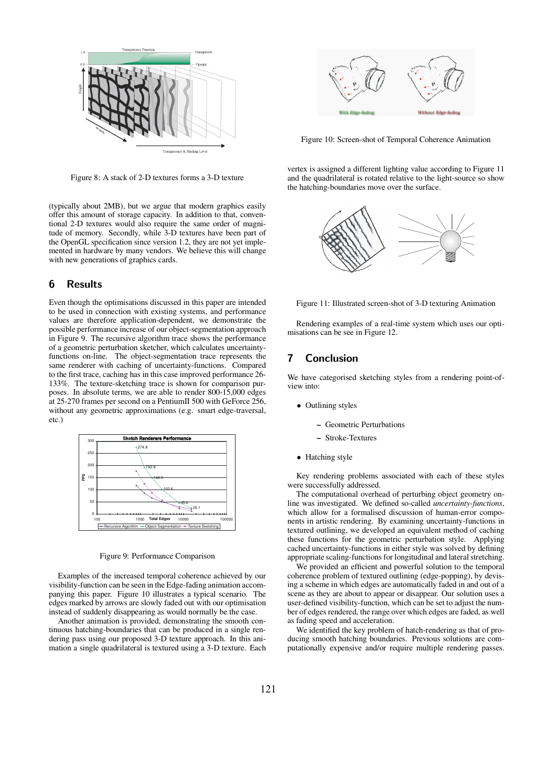

Figure 8: A stack of 2-D textures forms a 3-D texture

(typically about 2MB), but we argue that modern graphics easily offer this amount of storage capacity. In addition to that, conventional 2-D textures would also require the same order of magnitude of memory. Secondly, while 3-D textures have been part of the OpenGL specification since version 1.2, they are not yet implemented in hardware by many vendors. We believe this will change with new generations of graphics cards.

### 6 Results

Even though the optimisations discussed in this paper are intended to be used in connection with existing systems, and performance values are therefore application-dependent, we demonstrate the possible performance increase of our object-segmentation approach in Figure 9. The recursive algorithm trace shows the performance of a geometric perturbation sketcher, which calculates uncertaintyfunctions on-line. The object-segmentation trace represents the same renderer with caching of uncertainty-functions. Compared to the first trace, caching has in this case improved performance 26- 133%. The texture-sketching trace is shown for comparison purposes. In absolute terms, we are able to render 800-15,000 edges at 25-270 frames per second on a PentiumII 500 with GeForce 256, without any geometric approximations (e.g. smart edge-traversal, etc.)



Figure 9: Performance Comparison

Examples of the increased temporal coherence achieved by our visibility-function can be seen in the Edge-fading animation accompanying this paper. Figure 10 illustrates a typical scenario. The edges marked by arrows are slowly faded out with our optimisation instead of suddenly disappearing as would normally be the case.

Another animation is provided, demonstrating the smooth continuous hatching-boundaries that can be produced in a single rendering pass using our proposed 3-D texture approach. In this animation a single quadrilateral is textured using a 3-D texture. Each



Figure 10: Screen-shot of Temporal Coherence Animation

vertex is assigned a different lighting value according to Figure 11 and the quadrilateral is rotated relative to the light-source so show the hatching-boundaries move over the surface.



Figure 11: Illustrated screen-shot of 3-D texturing Animation

Rendering examples of a real-time system which uses our optimisations can be see in Figure 12.

### 7 Conclusion

We have categorised sketching styles from a rendering point-ofview into:

- Outlining styles
	- **–** Geometric Perturbations
	- **–** Stroke-Textures
- Hatching style

Key rendering problems associated with each of these styles were successfully addressed.

The computational overhead of perturbing object geometry online was investigated. We defined so-called *uncertainty-functions*, which allow for a formalised discussion of human-error components in artistic rendering. By examining uncertainty-functions in textured outlining, we developed an equivalent method of caching these functions for the geometric perturbation style. Applying cached uncertainty-functions in either style was solved by defining appropriate scaling-functions for longitudinal and lateral stretching.

We provided an efficient and powerful solution to the temporal coherence problem of textured outlining (edge-popping), by devising a scheme in which edges are automatically faded in and out of a scene as they are about to appear or disappear. Our solution uses a user-defined visibility-function, which can be set to adjust the number of edges rendered, the range over which edges are faded, as well as fading speed and acceleration.

We identified the key problem of hatch-rendering as that of producing smooth hatching boundaries. Previous solutions are computationally expensive and/or require multiple rendering passes.